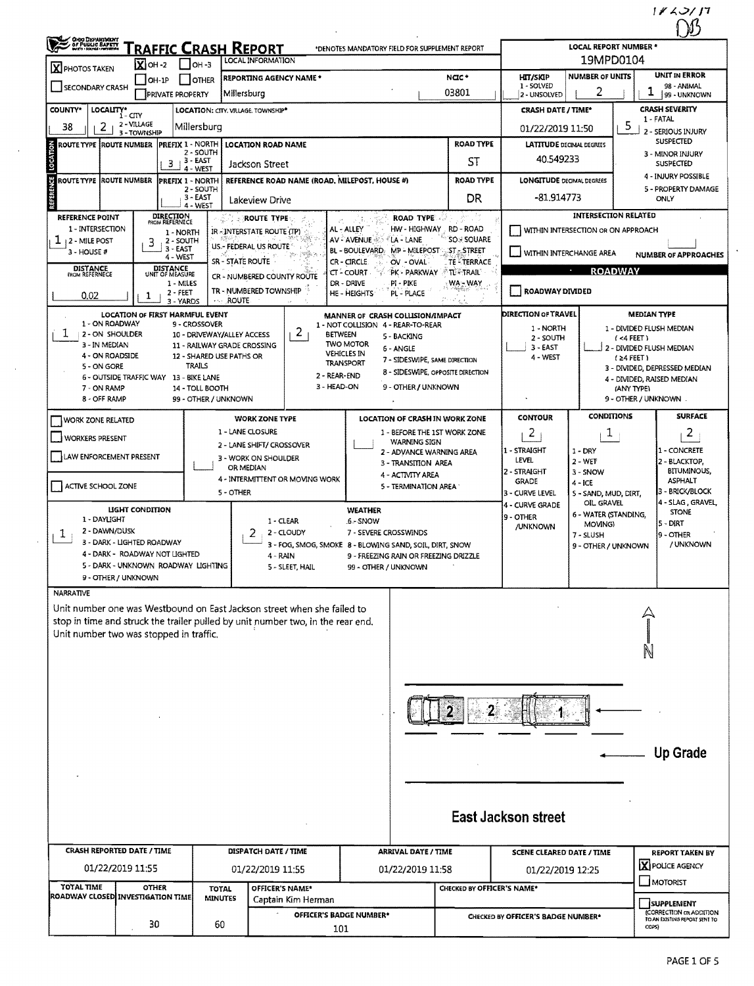$\mathbb{Z}$ 

| OHIO DEPARTMENT                    | Traffic Crash Report<br>$X$ oh -2                                     | ∣ ∣он -з                                                  | LOCAL INFORMATION                                                               | *DENOTES MANDATORY FIELD FOR SUPPLEMENT REPORT                          |                                     |                                                                           | <b>LOCAL REPORT NUMBER *</b><br>19MPD0104 |                                                                               |  |
|------------------------------------|-----------------------------------------------------------------------|-----------------------------------------------------------|---------------------------------------------------------------------------------|-------------------------------------------------------------------------|-------------------------------------|---------------------------------------------------------------------------|-------------------------------------------|-------------------------------------------------------------------------------|--|
| X PHOTOS TAKEN                     | OH-1P                                                                 | <b>OTHER</b>                                              | <b>REPORTING AGENCY NAME *</b>                                                  |                                                                         | NGC*                                | <b>HIT/SKIP</b>                                                           | <b>NUMBER OF UNITS</b>                    | UNIT IN ERROR                                                                 |  |
| SECONDARY CRASH                    | PRIVATE PROPERTY                                                      |                                                           | Millersburg                                                                     |                                                                         | 03801                               | 1 - SOLVED<br>2 - UNSOLVED                                                | 2                                         | 98 - ANIMAL<br>ı<br>99 - UNKNOWN                                              |  |
| <b>COUNTY*</b>                     | LOCALITY* CITY                                                        | LOCATION: CITY. VILLAGE. TOWNSHIP*                        |                                                                                 |                                                                         |                                     | <b>CRASH DATE / TIME*</b>                                                 |                                           | <b>CRASH SEVERITY</b>                                                         |  |
| 2<br>38                            | 2 - VILLAGE                                                           | Millersburg                                               |                                                                                 |                                                                         |                                     | 01/22/2019 11:50                                                          |                                           | 1 - FATAL<br>5                                                                |  |
| ROUTE TYPE  ROUTE NUMBER           | 3 - TOWNSHIP<br>PREFIX 1 - NORTH                                      |                                                           | <b>LOCATION ROAD NAME</b>                                                       |                                                                         | <b>ROAD TYPE</b>                    | 2 - SERIOUS INJURY<br><b>SUSPECTED</b><br><b>LATITUDE DECIMAL DEGREES</b> |                                           |                                                                               |  |
|                                    | $3 + 3 - EAST$                                                        | 2 - SOUTH                                                 |                                                                                 |                                                                         | ST                                  | 3 - MINOR INJURY<br>40.549233                                             |                                           |                                                                               |  |
|                                    |                                                                       | 4 - WEST                                                  | Jackson Street                                                                  |                                                                         |                                     |                                                                           | <b>SUSPECTED</b><br>4 - INJURY POSSIBLE   |                                                                               |  |
| ROUTE TYPE ROUTE NUMBER            | <b>PREFIX 1 - NORTH</b>                                               | $2 - SOLTH$                                               | REFERENCE ROAD NAME (ROAD, MILEPOST, HOUSE #)                                   |                                                                         | <b>ROAD TYPE</b>                    | <b>LONGITUDE DECIMAL DEGREES</b><br>5 - PROPERTY DAMAGE                   |                                           |                                                                               |  |
|                                    |                                                                       | $3 - EAST$<br>4 - WEST                                    | Lakeview Drive                                                                  |                                                                         | DR                                  | -81.914773                                                                |                                           | <b>ONLY</b>                                                                   |  |
| <b>REFERENCE POINT</b>             | <b>DIRECTION</b><br>FROM REFERNECE                                    |                                                           | <b>AND SPROUTE TYPE</b>                                                         | ROAD TYPE                                                               |                                     |                                                                           | <b>INTERSECTION RELATED</b>               |                                                                               |  |
| 1 - INTERSECTION                   | 1 - NORTH                                                             |                                                           | IR - INTERSTATE ROUTE (TP)                                                      | HW - HIGHWAY<br>AL - ALLEY<br>AV - AVENUE<br>LA - LANE                  | RD - ROAD<br><b>SO &amp; SOUARE</b> |                                                                           | WITHIN INTERSECTION OR ON APPROACH        |                                                                               |  |
| ı<br>12 - MILE POST<br>3 - HOUSE # | 2 - SOUTH<br>3<br>$3 - EAST$                                          |                                                           | US .- FEDERAL US ROUTE                                                          | MP - MILEPOST ST. STREET<br>BL - BOULEVARD                              |                                     | WITHIN INTERCHANGE AREA                                                   |                                           | <b>NUMBER OF APPROACHES</b>                                                   |  |
| <b>DISTANCE</b><br>FROM REFERNECE  | 4 - WEST<br>DISTANCE<br>UNIT OF MEASURE                               |                                                           | SR - STATE ROUTE                                                                | CR-CIRCLE<br>OV - OVAL                                                  | <b>TE - TERRACE</b>                 |                                                                           | $\sigma$ .<br><b>ROADWAY</b>              |                                                                               |  |
|                                    | 1 - MILES                                                             |                                                           | CR - NUMBERED COUNTY ROUTE                                                      | TPK - PARKWAY ATL - TRAIL<br><b>CT-COURT</b><br>DR - DRIVE<br>PI - PIKE | WA – WAY                            |                                                                           |                                           |                                                                               |  |
| 0.02                               | $2 - FEET$<br>1<br>3 - YARDS                                          | <b>ROUTE</b><br>$\sim 2.1$                                | TR - NUMBERED TOWNSHIP<br>16                                                    | HE - HEIGHTS<br>PL - PLACE                                              | gebyet)                             | ROADWAY DIVIDED                                                           |                                           |                                                                               |  |
|                                    | LOCATION OF FIRST HARMFUL EVENT                                       |                                                           |                                                                                 | MANNER OF CRASH COLLISION/IMPACT                                        |                                     | <b>DIRECTION OF TRAVEL</b>                                                |                                           | <b>MEDIAN TYPE</b>                                                            |  |
| 1 - ON ROADWAY<br>ı                |                                                                       | 9 - CROSSOVER                                             | $\mathbf{2}$                                                                    | 1 - NOT COLLISION 4 - REAR-TO-REAR                                      |                                     | 1 - NORTH                                                                 |                                           | 1 - DIVIDED FLUSH MEDIAN                                                      |  |
| 2 - ON SHOULDER<br>3 - IN MEDIAN   |                                                                       | 10 - DRIVEWAY/ALLEY ACCESS<br>11 - RAILWAY GRADE CROSSING | <b>BETWEEN</b>                                                                  | 5 - BACKING<br><b>TWO MOTOR</b><br>6 - ANGLE                            |                                     | 2 - SOUTH<br>$3 - EAST$                                                   |                                           | (4FERT)<br>2 - DIVIDED FLUSH MEDIAN                                           |  |
| 4 - ON ROADSIDE                    |                                                                       | 12 - SHARED USE PATHS OR                                  |                                                                                 | <b>VEHICLES IN</b><br>7 - SIDESWIPE, SAME DIRECTION<br>TRANSPORT        |                                     | 4 - WEST                                                                  |                                           | $(24$ FEET)                                                                   |  |
| 5 - ON GORE                        | 6 - OUTSIDE TRAFFIC WAY 13 - BIKE LANE                                | <b>TRAILS</b>                                             | 2 - REAR-END                                                                    | 8 - SIDESWIPE, OPPOSITE DIRECTION                                       |                                     |                                                                           |                                           | 3 - DIVIDED, DEPRESSED MEDIAN<br>4 - DIVIDED, RAISED MEDIAN                   |  |
| 7 - ON RAMP                        |                                                                       | 14 - TOLL BOOTH                                           | 3 - HEAD-ON                                                                     | 9 - OTHER / UNKNOWN                                                     |                                     |                                                                           |                                           | (ANY TYPE)                                                                    |  |
| 8 - OFF RAMP                       |                                                                       | 99 - OTHER / UNKNOWN                                      |                                                                                 |                                                                         |                                     |                                                                           |                                           | 9 - OTHER / UNKNOWN.                                                          |  |
| <b>WORK ZONE RELATED</b>           |                                                                       |                                                           | <b>WORK ZONE TYPE</b>                                                           | <b>LOCATION OF CRASH IN WORK ZONE</b>                                   |                                     | <b>CONTOUR</b>                                                            | <b>CONDITIONS</b>                         | <b>SURFACE</b>                                                                |  |
| <b>WORKERS PRESENT</b>             |                                                                       |                                                           | 1 - LANE CLOSURE                                                                | 1 - BEFORE THE 1ST WORK ZONE<br><b>WARNING SIGN</b>                     |                                     | 2                                                                         | 1                                         | $\overline{2}$                                                                |  |
| LAW ENFORCEMENT PRESENT            |                                                                       |                                                           | 2 - LANE SHIFT/ CROSSOVER<br>3 - WORK ON SHOULDER                               | 2 - ADVANCE WARNING AREA                                                |                                     | 1 - STRAIGHT                                                              | $1 - DRY$                                 | 1 - CONCRETE                                                                  |  |
|                                    |                                                                       |                                                           | OR MEDIAN                                                                       | 3 - TRANSITION AREA                                                     |                                     | <b>LEVEL</b><br>2 - STRAIGHT                                              | $2 - WET$<br>3 - SNOW                     | 2 - BLACKTOP,<br><b>BITUMINOUS,</b>                                           |  |
| ACTIVE SCHOOL ZONE                 |                                                                       |                                                           | 4 - INTERMITTENT OR MOVING WORK                                                 | 4 - ACTIVITY AREA<br>5 - TERMINATION AREA                               |                                     | <b>GRADE</b>                                                              | $4 - ICE$                                 | ASPHALT                                                                       |  |
|                                    |                                                                       | 5 - OTHER                                                 |                                                                                 |                                                                         |                                     | 3 - CURVE LEVEL<br>4 - CURVE GRADE                                        | 5 - SAND, MUD, DIRT,<br>OIL GRAVEL        | 3 - BRICK/BLOCK<br>4 - SLAG, GRAVEL,                                          |  |
| 1 - DAYLIGHT                       | LIGHT CONDITION                                                       |                                                           | $1 - CLEAR$                                                                     | <b>WEATHER</b><br>6 - SNOW                                              |                                     | 9 - OTHER                                                                 | 6 - WATER (STANDING,                      | <b>STONE</b>                                                                  |  |
| 2 - DAWN/DUSK<br>1                 |                                                                       |                                                           | 2<br>2 - CLOUDY                                                                 | 7 - SEVERE CROSSWINDS                                                   |                                     | /UNKNOWN                                                                  | MOVING)<br>7 - SLUSH                      | 5 - DIRT<br>9 - OTHER                                                         |  |
|                                    | 3 - DARK - LIGHTED ROADWAY                                            |                                                           |                                                                                 | 3 - FOG, SMOG, SMOKE 8 - BLOWING SAND, SOIL, DIRT, SNOW                 |                                     |                                                                           | 9 - OTHER / UNKNOWN                       | / UNKNOWN                                                                     |  |
|                                    | 4 - DARK - ROADWAY NOT LIGHTED<br>5 - DARK - UNKNOWN ROADWAY LIGHTING |                                                           | 4 - RAIN<br>5 - SLEET, HAIL                                                     | 9 - FREEZING RAIN OR FREEZING DRIZZLE<br>99 - OTHER / UNKNOWN           |                                     |                                                                           |                                           |                                                                               |  |
|                                    | 9 - OTHER / UNKNOWN                                                   |                                                           |                                                                                 |                                                                         |                                     |                                                                           |                                           |                                                                               |  |
| <b>NARRATIVE</b>                   |                                                                       |                                                           |                                                                                 |                                                                         |                                     |                                                                           |                                           |                                                                               |  |
|                                    |                                                                       |                                                           | Unit number one was Westbound on East Jackson street when she failed to         |                                                                         |                                     |                                                                           |                                           |                                                                               |  |
|                                    |                                                                       |                                                           | stop in time and struck the trailer pulled by unit number two, in the rear end. |                                                                         |                                     |                                                                           |                                           |                                                                               |  |
|                                    | Unit number two was stopped in traffic.                               |                                                           |                                                                                 |                                                                         |                                     |                                                                           |                                           |                                                                               |  |
|                                    |                                                                       |                                                           |                                                                                 |                                                                         |                                     |                                                                           |                                           |                                                                               |  |
|                                    |                                                                       |                                                           |                                                                                 |                                                                         |                                     |                                                                           |                                           |                                                                               |  |
|                                    |                                                                       |                                                           |                                                                                 |                                                                         |                                     |                                                                           |                                           |                                                                               |  |
|                                    |                                                                       |                                                           |                                                                                 |                                                                         |                                     |                                                                           |                                           |                                                                               |  |
|                                    |                                                                       |                                                           |                                                                                 |                                                                         |                                     |                                                                           |                                           |                                                                               |  |
|                                    |                                                                       |                                                           |                                                                                 |                                                                         |                                     |                                                                           |                                           |                                                                               |  |
|                                    |                                                                       |                                                           |                                                                                 |                                                                         |                                     |                                                                           |                                           | <b>Up Grade</b>                                                               |  |
|                                    |                                                                       |                                                           |                                                                                 |                                                                         |                                     |                                                                           |                                           |                                                                               |  |
|                                    |                                                                       |                                                           |                                                                                 |                                                                         |                                     |                                                                           |                                           |                                                                               |  |
|                                    |                                                                       |                                                           |                                                                                 |                                                                         |                                     |                                                                           |                                           |                                                                               |  |
|                                    |                                                                       |                                                           |                                                                                 |                                                                         |                                     | <b>East Jackson street</b>                                                |                                           |                                                                               |  |
|                                    |                                                                       |                                                           |                                                                                 |                                                                         |                                     |                                                                           |                                           |                                                                               |  |
|                                    | CRASH REPORTED DATE / TIME                                            |                                                           | <b>DISPATCH DATE / TIME</b>                                                     | <b>ARRIVAL DATE / TIME</b>                                              |                                     | <b>SCENE CLEARED DATE / TIME</b>                                          |                                           | <b>REPORT TAKEN BY</b>                                                        |  |
|                                    |                                                                       |                                                           | 01/22/2019 11:55                                                                | 01/22/2019 11:58                                                        |                                     | 01/22/2019 12:25                                                          |                                           | X POLICE AGENCY                                                               |  |
|                                    | 01/22/2019 11:55                                                      |                                                           |                                                                                 |                                                                         |                                     |                                                                           |                                           | MOTORIST                                                                      |  |
|                                    |                                                                       |                                                           |                                                                                 |                                                                         |                                     |                                                                           |                                           |                                                                               |  |
| <b>TOTAL TIME</b>                  | <b>OTHER</b><br>ROADWAY CLOSED INVESTIGATION TIME                     | <b>TOTAL</b><br><b>MINUTES</b>                            | OFFICER'S NAME*<br>Captain Kim Herman                                           |                                                                         | <b>CHECKED BY OFFICER'S NAME*</b>   |                                                                           |                                           |                                                                               |  |
|                                    | 30                                                                    | 60                                                        | <b>OFFICER'S BADGE NUMBER*</b>                                                  |                                                                         |                                     | CHECKED BY OFFICER'S BADGE NUMBER*                                        |                                           | SUPPLEMENT<br><b>(CORRECTION OR ADDITION</b><br>TO AN EXISTING REPORT SENT TO |  |

 $\mathcal{A}$ 

 $\mathcal{A}^{\mathcal{A}}$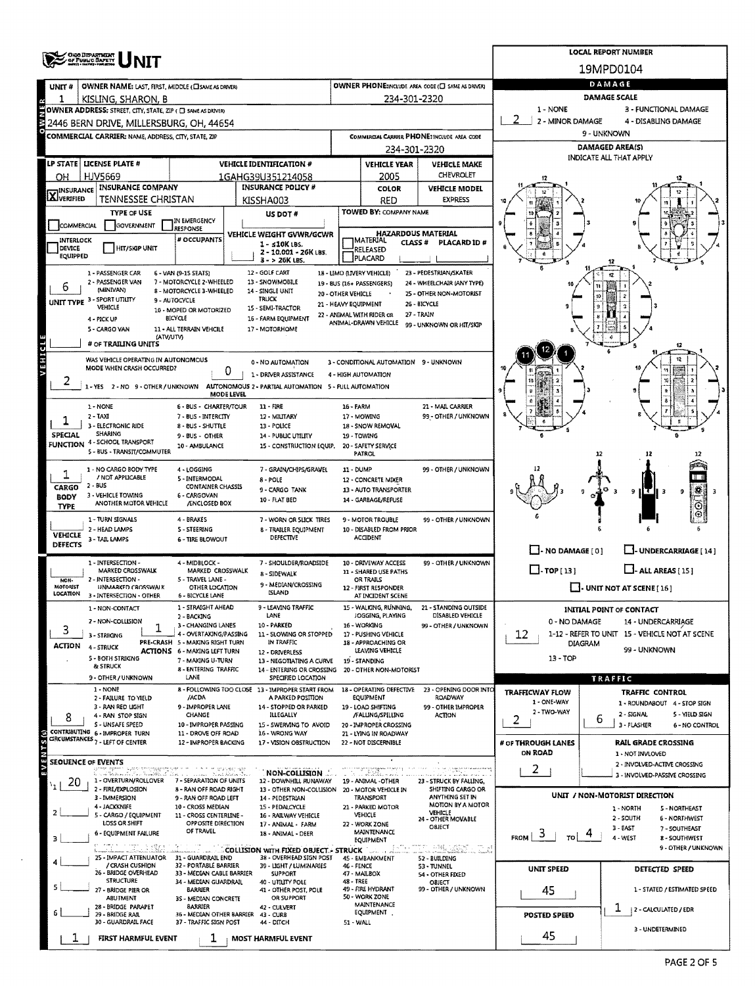|                            | <b>OHO DEPARTMENT<br/>- OF PUBLIC SAPETY</b><br>- DIG : NORL MENT   |                                                          | <b>LOCAL REPORT NUMBER</b>                                                                             |                      |                                                                |                                             |                                                         |                                                                      |  |  |  |  |
|----------------------------|---------------------------------------------------------------------|----------------------------------------------------------|--------------------------------------------------------------------------------------------------------|----------------------|----------------------------------------------------------------|---------------------------------------------|---------------------------------------------------------|----------------------------------------------------------------------|--|--|--|--|
|                            |                                                                     |                                                          |                                                                                                        | 19MPD0104            |                                                                |                                             |                                                         |                                                                      |  |  |  |  |
| UNIT#                      | OWNER NAME: LAST, FIRST, MIDDLE (CISAME AS DRIVER)                  |                                                          | OWNER PHONE:INCLUDE AREA CODE (C) SAME AS DRIVER)                                                      | DAMAGE               |                                                                |                                             |                                                         |                                                                      |  |  |  |  |
| 1                          | KISLING, SHARON, B                                                  |                                                          |                                                                                                        |                      | 234-301-2320                                                   |                                             | <b>DAMAGE SCALE</b>                                     |                                                                      |  |  |  |  |
|                            | OWNER ADDRESS: STREET, CITY, STATE, ZIP ( C) SAME AS DRIVER)        |                                                          |                                                                                                        |                      |                                                                |                                             | 1 - NONE                                                | 3 - FUNCTIONAL DAMAGE                                                |  |  |  |  |
|                            | E 2446 BERN DRIVE. MILLERSBURG. OH. 44654                           |                                                          |                                                                                                        |                      |                                                                |                                             | 2 - MINOR DAMAGE<br>4 - DISABLING DAMAGE<br>9 - UNKNOWN |                                                                      |  |  |  |  |
|                            | COMMERCIAL CARRIER: NAME, ADDRESS, CITY, STATE, ZIP                 |                                                          |                                                                                                        |                      |                                                                | COMMERCIAL CARRIER PHONE: INCLUDE AREA CODE |                                                         | DAMAGED AREA(S)                                                      |  |  |  |  |
|                            |                                                                     |                                                          |                                                                                                        |                      | 234-301-2320                                                   |                                             |                                                         | INDICATE ALL THAT APPLY                                              |  |  |  |  |
| <b>LP STATE</b>            | LICENSE PLATE #                                                     |                                                          | <b>VEHICLE IDENTIFICATION #</b>                                                                        |                      | <b>VEHICLE YEAR</b><br>2005                                    | <b>VEHICLE MAKE</b><br>CHEVROLET            |                                                         |                                                                      |  |  |  |  |
| OН                         | HJV5669<br><b>INSURANCE COMPANY</b>                                 |                                                          | 1GAHG39U351214058<br><b>INSURANCE POLICY #</b>                                                         |                      | COLOR                                                          | <b>VEHICLE MODEL</b>                        |                                                         |                                                                      |  |  |  |  |
| <b>X</b> INSURANCE         | TENNESSEE CHRISTAN                                                  |                                                          | KISSHA003                                                                                              |                      | RED                                                            | <b>EXPRESS</b>                              |                                                         |                                                                      |  |  |  |  |
|                            | <b>TYPE OF USE</b>                                                  |                                                          | US DOT #                                                                                               |                      | TOWED BY: COMPANY NAME                                         |                                             |                                                         |                                                                      |  |  |  |  |
| COMMERCIAL                 | GOVERNMENT                                                          | IN EMERGENCY<br><b>JRESPONSE</b>                         |                                                                                                        |                      |                                                                |                                             |                                                         |                                                                      |  |  |  |  |
| INTERLOCK                  |                                                                     | # OCCUPANTS                                              | VEHICLE WEIGHT GVWR/GCWR<br>$1 - 10K$ LBS.                                                             |                      | <b>HAZARDOUS MATERIAL</b><br><b>TMATERIAL</b><br><b>CLASS#</b> | <b>PLACARD ID#</b>                          |                                                         |                                                                      |  |  |  |  |
| DEVICE<br>EQUIPPED         | <b>HIT/SKIP UNIT</b>                                                |                                                          | 2 - 10.001 - 26K LBS.<br>3 - > 26K LBS.                                                                |                      | RELEASED<br>PLACARD                                            |                                             |                                                         |                                                                      |  |  |  |  |
|                            | 1 - PASSENGER CAR                                                   | 6 - VAN (9-15 SEATS)                                     | 12 - GOLF CART                                                                                         |                      | 18 - LIMO (LIVERY VEHICLE)                                     | 23 - PEDESTRIAN/SKATER                      |                                                         |                                                                      |  |  |  |  |
| 6                          | 2 - PASSENGER VAN                                                   | 7 - MOTORCYCLE 2-WHEELED                                 | 13 - SNOWMOBILE                                                                                        |                      | 19 - BUS (16+ PASSENGERS)                                      | 24 - WHEELCHAIR (ANY TYPE)                  |                                                         |                                                                      |  |  |  |  |
|                            | (MINIVAN)<br>UNIT TYPE 3 - SPORT UTILITY                            | 8 - MOTORCYCLE 3-WHEELED<br>9 - AUTOCYCLE                | 14 - SINGLE UNIT<br><b>TRUCK</b>                                                                       | 20 - OTHER VEHICLE   |                                                                | 25 - OTHER NON-MOTORIST<br>26 - BICYCLE     |                                                         | 10                                                                   |  |  |  |  |
|                            | VEHICLE                                                             | 10 - MOPED OR MOTORIZED                                  | 15 - SEMI-TRACTOR                                                                                      | 21 - HEAVY EQUIPMENT | 22 - ANIMAL WITH RIDER OR                                      | 27 - TRAIN                                  |                                                         |                                                                      |  |  |  |  |
|                            | 4 - PICK UP<br>S - CARGO VAN                                        | BICYCLE<br>11 - ALL TERRAIN VEHCILE                      | 16 - FARM EQUIPMENT<br>17 - MOTORHOME                                                                  |                      | ANIMAL-DRAWN VEHICLE                                           | 99 - UNKNOWN OR HIT/SKIP                    |                                                         |                                                                      |  |  |  |  |
|                            | (ATV/UTV)<br># OF TRAILING UNITS                                    |                                                          |                                                                                                        |                      |                                                                |                                             |                                                         | 12                                                                   |  |  |  |  |
| <b>ATHIOLE</b>             | WAS VEHICLE OPERATING IN AUTONOMOUS                                 |                                                          |                                                                                                        |                      |                                                                |                                             |                                                         | 12                                                                   |  |  |  |  |
|                            | MODE WHEN CRASH OCCURRED?                                           | 0                                                        | 0 - NO AUTOMATION                                                                                      |                      | 3 - CONDITIONAL AUTOMATION 9 - UNKNOWN                         |                                             |                                                         |                                                                      |  |  |  |  |
|                            |                                                                     |                                                          | 1 - DRIVER ASSISTANCE<br>1-YES 2-NO 9-OTHER/UNKNOWN AUTONOMOUS 2- PARTIAL AUTOMATION 5-FULL AUTOMATION |                      | 4 - HIGH AUTOMATION                                            |                                             |                                                         | 10                                                                   |  |  |  |  |
|                            |                                                                     | <b>MODE LEVEL</b>                                        |                                                                                                        |                      |                                                                |                                             |                                                         | ô                                                                    |  |  |  |  |
|                            | 1 - NONE                                                            | 6 - BUS - CHARTER/TOUR                                   | 11 - FIRE                                                                                              | 16 - FARM            |                                                                | 21 - MAIL CARRIER                           |                                                         |                                                                      |  |  |  |  |
|                            | 2 - TAXI<br>3 - ELECTRONIC RIDE                                     | 7 - BUS - INTERCITY<br>8 - BUS - SHUTTLE                 | 12 - MILITARY<br>13 - POLICE                                                                           |                      | 17 MOWING<br>18 - SNOW REMOVAL                                 | 99 - OTHER / UNKNOWN                        |                                                         |                                                                      |  |  |  |  |
| SPECIAL                    | SHARING                                                             | 9 - BUS - OTHER                                          | 14 - PUBLIC UTILITY                                                                                    |                      | 19 - TOWING                                                    |                                             |                                                         |                                                                      |  |  |  |  |
| FUNCTION                   | 4 - SCHOOL TRANSPORT<br>5 - BUS - TRANSIT/COMMUTER                  | 10 - AMBULANCE                                           | 15 - CONSTRUCTION EQUIP.                                                                               |                      | 20 - SAFETY SERVICE<br>PATROL                                  |                                             |                                                         | 12                                                                   |  |  |  |  |
|                            | 1 - NO CARGO BODY TYPE                                              | 4 - LOGGING                                              |                                                                                                        | 11 - DUMP            |                                                                |                                             |                                                         |                                                                      |  |  |  |  |
|                            | / NOT APPLICABLE                                                    | 5 - INTERMODAL                                           | 7 - GRAIN/CHIPS/GRAVEL<br>8 - POLE                                                                     |                      | 12 - CONCRETE MIXER                                            | 99 - OTHER / UNKNOWN                        |                                                         |                                                                      |  |  |  |  |
| CARGO                      | 2 - BUS<br>3 - VEHICLE TOWING                                       | <b>CONTAINER CHASSIS</b><br>6 - CARGOVAN                 | 9 - CARGO TANK                                                                                         |                      | 13 - AUTO TRANSPORTER                                          |                                             |                                                         | ۰<br>響<br>९ ॥ र<br>-3<br>9                                           |  |  |  |  |
| <b>BODY</b><br><b>TYPE</b> | ANOTHER MOTOR VEHICLE                                               | /ENCLOSED BOX                                            | 10 - FLAT BED                                                                                          |                      | 14 - GARBAGE/REFUSE                                            |                                             |                                                         | O                                                                    |  |  |  |  |
|                            | 1 - TURN SIGNALS                                                    | 4 - BRAKES                                               | 7 - WORN OR SLICK TIRES                                                                                |                      | 9 - MOTOR TROUBLE                                              | 99 - OTHER / UNKNOWN                        |                                                         | ⊕                                                                    |  |  |  |  |
| <b>VEHICLE</b>             | 2 - HLAD LAMPS                                                      | <b>S-STEERING</b>                                        | 8 - TRAILER EQUIPMENT<br>DEFECTIVE                                                                     |                      | 10 - DISABLED FROM PRIOR<br><b>ACCIDENT</b>                    |                                             |                                                         |                                                                      |  |  |  |  |
| DEFECTS                    | 3 - TAIL LAMPS                                                      | <b>6 - TIRE BLOWOUT</b>                                  |                                                                                                        |                      |                                                                |                                             | $\Box$ - NO DAMAGE [ 0 ]                                | LI-UNDERCARRIAGE [14]                                                |  |  |  |  |
|                            | 1 - INTERSECTION -                                                  | 4 - MIDBLOCK -                                           | 7 - SHOULDER/ROADSIDE                                                                                  |                      | 10 - DRIVEWAY ACCESS                                           | 99 - OTHER / UNKNOWN                        |                                                         |                                                                      |  |  |  |  |
| NON-                       | MARKED CROSSWALK<br>2 - INTERSECTION                                | MARKED CROSSWALK<br>5 - TRAVEL LANE -                    | 8 - SIDEWALK                                                                                           |                      | 11 - SHARED USE PATHS<br>OR TRAILS                             |                                             | $\Box$ -TOP[13]                                         | $L$ -ALL AREAS $[15]$                                                |  |  |  |  |
| MOTORIST<br>LOCATION       | <b>UNMARKED CROSSWALK</b>                                           | OTHER LOCATION                                           | 9 - MEDIAN/CROSSING<br><b>ISLAND</b>                                                                   |                      | 12 - FIRST RESPONDER                                           |                                             |                                                         | $\Box$ - UNIT NOT AT SCENE [ $16$ ]                                  |  |  |  |  |
|                            | 3 - INTERSECTION - OTHER                                            | <b>6 - BICYCLE LANE</b><br>1 - STRAIGHT AHEAD            | 9 - LEAVING TRAFFIC                                                                                    |                      | AT INCIDENT SCENE<br>15 - WALKING, RUNNING,                    | 21 - STANDING OUTSIDE                       |                                                         |                                                                      |  |  |  |  |
|                            | 1 - NON-CONTACT<br>2 - NON-COLLISION                                | 2 - BACKING                                              | LANE                                                                                                   |                      | JOGGING, PLAYING                                               | DISABLED VEHICLE                            | 0 - NO DAMAGE                                           | <b>INITIAL POINT OF CONTACT</b>                                      |  |  |  |  |
| 3                          | ı<br>3 - STRIKING                                                   | 3 - CHANGING LANES<br>4 - OVERTAKING/PASSING             | 10 - PARKED<br>11 - SLOWING OR STOPPED                                                                 |                      | 16 - WORKING<br>17 - PUSHING VEHICLE                           | 99 - OTHER / UNKNOWN                        | 12                                                      | 14 - UNDERCARRIAGE<br>1-12 - REFER TO UNIT 15 - VEHICLE NOT AT SCENE |  |  |  |  |
| <b>ACTION</b>              | 4 - STRUCK                                                          | PRE-CRASH 5 - MAXING RIGHT TURN                          | IN TRAFFIC                                                                                             |                      | 18 - APPROACHING OR                                            |                                             |                                                         | <b>DIAGRAM</b>                                                       |  |  |  |  |
|                            | <b>5 - BOTH STRIKING</b>                                            | <b>ACTIONS 6 - MAKING LEFT TURN</b><br>7 - MAKING U-TURN | 12 - DRIVERLESS<br>13 - NEGOTIATING A CURVE                                                            |                      | LEAVING VEHICLE<br>19 - STANDING                               |                                             | $13 - TOP$                                              | 99 - UNKNOWN                                                         |  |  |  |  |
|                            | & STRUCK                                                            | 8 - ENTERING TRAFFIC                                     | 14 - ENTERING OR CROSSING                                                                              |                      | 20 - OTHER NON-MOTORIST                                        |                                             |                                                         |                                                                      |  |  |  |  |
|                            | 9 - OTHER / UNKNOWN<br>1 - NONE                                     | LANE                                                     | SPECIFIED LOCATION<br>8 - FOLLOWING TOO CLOSE 13 - IMPROPER START FROM                                 |                      | 18 - OPERATING DEFECTIVE                                       | 23 - OPENING DOOR INTO                      |                                                         | TRAFFIC                                                              |  |  |  |  |
|                            | 2 - FAILURE TO YIELD                                                | /ACDA                                                    | A PARKED POSITION                                                                                      |                      | EQUIPMENT                                                      | ROADWAY                                     | TRAFFICWAY FLOW<br>1 - ONE-WAY                          | <b>TRAFFIC CONTROL</b><br>1 - ROUNDABOUT 4 - STOP SIGN               |  |  |  |  |
| 8                          | 3 - RAN RED LIGHT<br>4 - RAN STOP SIGN                              | 9 - IMPROPER LANE<br>CHANGE                              | 14 - STOPPED OR PARKED<br>ILLEGALLY                                                                    |                      | 19 - LOAD SHIFTING<br>/FALUNG/SPILLING                         | 99 - OTHER IMPROPER<br>ACTION               | 2 - TWO-WAY                                             | 2 - SIGNAL<br>5 - YIELD SIGN<br>6                                    |  |  |  |  |
|                            | S - UNSAFE SPEED<br>CONTRIBUTING 6 - IMPROPER TURN                  | 10 - IMPROPER PASSING<br>11 - DROVE OFF ROAD             | 15 - SWERVING TO AVOID<br>16 - WRONG WAY                                                               |                      | 20 - IMPROPER CROSSING                                         |                                             | 2                                                       | 3 - FLASHER<br>6 - NO CONTROL                                        |  |  |  |  |
| EVENTS <sub>(S)</sub>      | CRCUMSTANCES <sub>7</sub> - LEFT OF CENTER                          | 12 - IMPROPER BACKING                                    | 17 - VISION OBSTRUCTION                                                                                |                      | 21 - LYING IN ROADWAY<br>22 - NOT DISCERNIBLE                  |                                             | # of THROUGH LANES                                      | <b>RAIL GRADE CROSSING</b>                                           |  |  |  |  |
|                            |                                                                     |                                                          |                                                                                                        |                      |                                                                |                                             | <b>ON ROAD</b>                                          | 1 - NOT INVLOVED                                                     |  |  |  |  |
|                            | SEOUENCE OF EVENTS<br>gregorijano.<br>Kolonijano<br>' ಒಯು.ಎ. ಎ.ಎ. . | interest response<br>ilini - Natakan Sel                 | NON-COLLISION                                                                                          |                      | n oo wilitii Awwa                                              | يطبط بقياد بالمرطبة بالمجروم بالمراجع       | 2                                                       | 2 - INVOLVED-ACTIVE CROSSING<br>3 - INVOLVED-PASSIVE CROSSING        |  |  |  |  |
| 20                         | 1 - OVERTURN/ROLLOVER<br>2 - FIRE/EXPLOSION                         | 7 - SEPARATION OF UNITS                                  | 12 - DOWNHILL RUNAWAY                                                                                  |                      | 19 - ANIMAL - OTHER                                            | 23 - STRUCK BY FALLING,                     |                                                         |                                                                      |  |  |  |  |
|                            | 3 - IMMERSION                                                       | 8 - RAN OFF ROAD RIGHT<br>9 - RAN OFF ROAD LEFT          | 13 - OTHER NON-COLLISION<br>14 - PEDESTRIAN                                                            |                      | 20 - MOTOR VEHICLE IN<br>TRANSPORT                             | SHIFTING CARGO OR<br>ANYTHING SET IN        |                                                         | UNIT / NON-MOTORIST DIRECTION                                        |  |  |  |  |
|                            | 4 - JACKKNIFE<br>5 - CARGO / EQUIPMENT                              | 10 - CROSS MEDIAN<br>11 - CROSS CENTERLINE -             | 15 - PEDALCYCLE<br>16 - RAILWAY VEHICLE                                                                |                      | 21 - PARKED MOTOR<br>VEHICLE                                   | MOTION BY A MOTOR<br>VEHICLE                |                                                         | 1 - NORTH<br>5 NORTHEAST                                             |  |  |  |  |
|                            | LOSS OR SHIFT                                                       | OPPOSITE DIRECTION                                       | 17 - ANIMAL - FARM                                                                                     |                      | 22 - WORK ZONE                                                 | 24 - OTHER MOVABLE<br>OBJECT                |                                                         | $2 - 50$ UTH<br><b>6 - NORTHWEST</b><br>$3 - EAST$<br>7 - SOUTHEAST  |  |  |  |  |
|                            | 6 - EQUIPMENT FAILURE                                               | OF TRAVEL                                                | 18 - ANIMAL - DEER                                                                                     |                      | MAINTENANCE<br>EQUIPMENT                                       |                                             | 3<br>FROM<br>TO                                         | 4 - WEST<br><b>B-SOUTHWEST</b>                                       |  |  |  |  |
|                            |                                                                     |                                                          |                                                                                                        |                      |                                                                | Strait by Martin                            |                                                         | 9 - OTHER / UNKNOWN                                                  |  |  |  |  |
|                            | 25 - IMPACT ATTENUATOR<br>/ CRASH CUSHION                           | 31 - GUARDRAIL END<br>32 - PORTABLE BARRIER              | 38 - OVERHEAD SIGN POST<br>39 - LIGHT / LUMINARIES                                                     | <b>46 - FENCE</b>    | 45 - EMBANKMENT                                                | 52 - BUILDING<br>53 - TUNNEL                | <b>UNIT SPEED</b>                                       | DETECTED SPEED                                                       |  |  |  |  |
|                            | 26 - BRIDGE OVERHEAD<br><b>STRUCTURE</b>                            | 33 - MEDIAN CABLE BARRIER<br>34 - MEDIAN GUARDRAIL       | <b>SUPPORT</b><br>40 - UTILITY POLE                                                                    | <b>48 - TREE</b>     | 47 - MAILBOX                                                   | 54 - OTHER FIXED<br>OBJECT                  |                                                         |                                                                      |  |  |  |  |
|                            | 27 - BRIDGE PIER OR<br>ABUTMENT                                     | BARRIER<br>3S - MEDIAN CONCRETE                          | 41 - OTHER POST, POLE<br>OR SUPPORT                                                                    |                      | 49 - FIRE HYDRANT<br>50 - WORK ZONE                            | 99 - OTHER / UNKNOWN                        | 45                                                      | 1 - STATED / ESTIMATED SPEED                                         |  |  |  |  |
|                            | 28 - BRIDGE PARAPET                                                 | <b>SARRIER</b>                                           | 42 - CULVERT                                                                                           |                      | MAINTENANCE<br>EQUIPMENT.                                      |                                             |                                                         | ı<br>  2 - CALCULATED / EDR                                          |  |  |  |  |
|                            | 29 - BRIDGE RAIL<br>30 - GUARDRAIL FACE                             | 36 - MEDIAN OTHER BARRIER<br>37 - TRAFFIC SIGN POST      | 43 - CURB<br>44 - DITCH                                                                                | 51 - WALL            |                                                                |                                             | POSTED SPEED                                            |                                                                      |  |  |  |  |
|                            | FIRST HARMFUL EVENT                                                 | ı                                                        | MOST HARMFUL EVENT                                                                                     |                      |                                                                |                                             | 45                                                      | 3 - UNDETERMINED                                                     |  |  |  |  |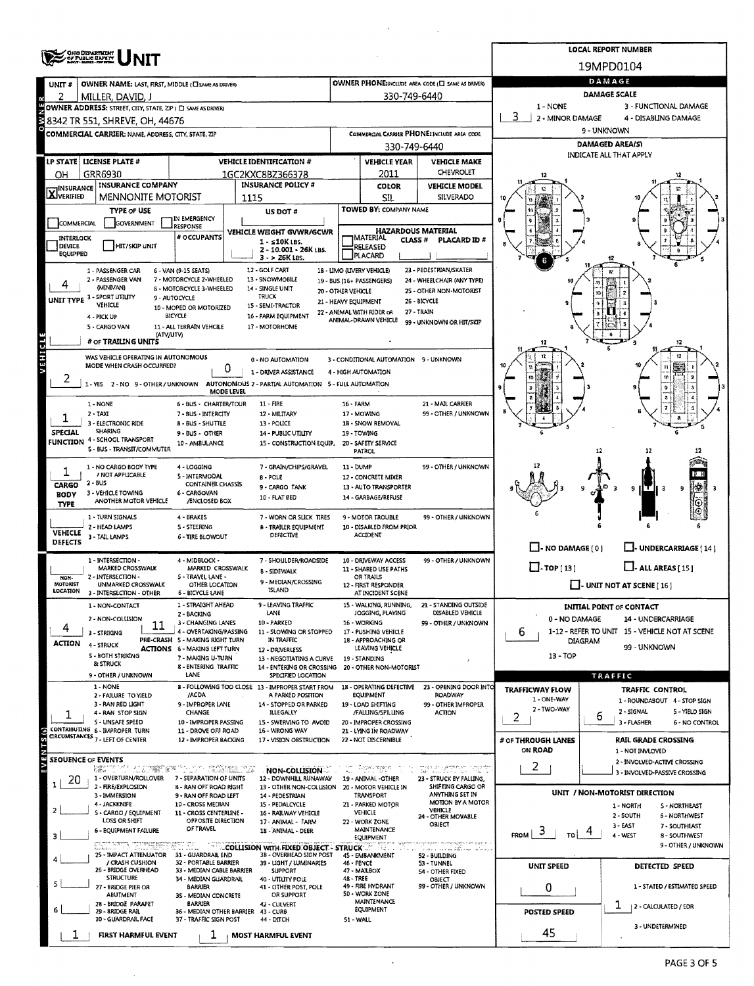|                                   |                                                              |                                                          |                                                       |                               |                                                               |                                                                                                                                                                                                                                                                 |                                                              | <b>LOCAL REPORT NUMBER</b>                              |  |  |  |  |
|-----------------------------------|--------------------------------------------------------------|----------------------------------------------------------|-------------------------------------------------------|-------------------------------|---------------------------------------------------------------|-----------------------------------------------------------------------------------------------------------------------------------------------------------------------------------------------------------------------------------------------------------------|--------------------------------------------------------------|---------------------------------------------------------|--|--|--|--|
|                                   | <b>ORO DEPARTMENT</b><br>OF PUBLIC BAFEYY                    |                                                          |                                                       |                               |                                                               |                                                                                                                                                                                                                                                                 |                                                              | 19MPD0104                                               |  |  |  |  |
| UNIT#                             | OWNER NAME: LAST, FIRST, MIDDLE (C) SAME AS DRIVER)          |                                                          | OWNER PHONE:INCLUDE AREA CODE (C) SAME AS DRIVER)     | DAMAGE                        |                                                               |                                                                                                                                                                                                                                                                 |                                                              |                                                         |  |  |  |  |
| 2                                 | MILLER, DAVID, J                                             |                                                          |                                                       |                               | 330-749-6440                                                  |                                                                                                                                                                                                                                                                 | DAMAGE SCALE                                                 |                                                         |  |  |  |  |
|                                   | OWNER ADDRESS: STREET, CITY, STATE, 2IP ( C) SAME AS DRIVERY |                                                          |                                                       |                               |                                                               |                                                                                                                                                                                                                                                                 | 1 - NONE                                                     | 3 - FUNCTIONAL DAMAGE                                   |  |  |  |  |
| N o                               | 8342 TR 551, SHREVE, OH, 44676                               |                                                          |                                                       |                               |                                                               |                                                                                                                                                                                                                                                                 | 3<br>2 - MINOR DAMAGE<br>4 - DISABLING DAMAGE<br>9 - UNKNOWN |                                                         |  |  |  |  |
|                                   | COMMERCIAL CARRIER: NAME, ADDRESS, CITY, STATE, ZIP          |                                                          |                                                       |                               | 330-749-6440                                                  | COMMERCIAL CARRIER PHONE: INCLUDE AREA COOE                                                                                                                                                                                                                     |                                                              | <b>DAMAGED AREA(S)</b>                                  |  |  |  |  |
|                                   | LP STATE   LICENSE PLATE #                                   |                                                          | <b>VEHICLE IDENTIFICATION #</b>                       |                               | <b>VEHICLE YEAR</b>                                           | <b>VEHICLE MAKE</b>                                                                                                                                                                                                                                             | INDICATE ALL THAT APPLY                                      |                                                         |  |  |  |  |
| OН                                | GRR6930                                                      |                                                          | 1GC2KXC8BZ366378                                      |                               | 2011                                                          | CHEVROLET                                                                                                                                                                                                                                                       |                                                              |                                                         |  |  |  |  |
| $\mathbf{X}$ <sup>Insurance</sup> | INSURANCE COMPANY                                            |                                                          | <b>INSURANCE POLICY #</b>                             | COLOR<br><b>VEHICLE MODEL</b> |                                                               |                                                                                                                                                                                                                                                                 |                                                              |                                                         |  |  |  |  |
|                                   | <b>MENNONITE MOTORIST</b>                                    |                                                          | 1115                                                  |                               | SIL                                                           | SILVERADO                                                                                                                                                                                                                                                       |                                                              |                                                         |  |  |  |  |
|                                   | <b>TYPE OF USE</b>                                           | IN EMERGENCY                                             | <b>US DOT #</b>                                       |                               | TOWED BY: COMPANY NAME                                        |                                                                                                                                                                                                                                                                 |                                                              |                                                         |  |  |  |  |
| COMMERCIAL<br>INTERLOCK           | GOVERNMENT                                                   | RESPONSE<br># OCCUPANTS                                  | VEHICLE WEIGHT GVWR/GCWR                              |                               | <b>HAZARDOUS MATERIAL</b><br><b>MATERIAL</b>                  |                                                                                                                                                                                                                                                                 |                                                              |                                                         |  |  |  |  |
| DEVICE<br>EQUIPPED                | HIT/SKIP UNIT                                                |                                                          | $1 - 510K$ LBS.<br>2 - 10.001 - 26K LBS.              |                               | CLASS <sup>#</sup><br>RELEASED                                | PLACARD ID #                                                                                                                                                                                                                                                    |                                                              |                                                         |  |  |  |  |
|                                   |                                                              |                                                          | 3 - > 26K LBS.                                        |                               | PLACARD                                                       |                                                                                                                                                                                                                                                                 |                                                              |                                                         |  |  |  |  |
|                                   | 1 - PASSENGER CAR<br>2 - PASSENGER VAN                       | 6 - VAN (9-15 SEATS)<br>7 - MOTORCYCLE 2-WHEELED         | 12 - GOLF CART<br>13 - SNOWMOBILE                     |                               | 1B - LIMO (LIVERY VEHICLE)<br>19 - BUS (16+ PASSENGERS)       | 23 - PEDESTRIAN/SKATER<br>24 - WHEELCHAIR (ANY TYPE)                                                                                                                                                                                                            |                                                              |                                                         |  |  |  |  |
|                                   | (MINIVANI)<br>UNIT TYPE 3-SPORT UTILITY                      | 8 - MOTORCYCLE 3-WHEELED<br>9 - AUTOCYCLE                | 14 - SINGLE UNIT<br>TRUCK                             | 20 - OTHER VEHICLE            |                                                               | 25 - OTHER NON-MOTORIST                                                                                                                                                                                                                                         |                                                              |                                                         |  |  |  |  |
|                                   | VEHICLE                                                      | 10 - MOPED OR MOTORIZED                                  | 15 - SEMI-TRACTOR                                     | 21 - HEAVY EQUIPMENT          | 22 - ANIMAL WITH RIDER OR                                     | 26 - BICYCLE<br>27 - TRAIN                                                                                                                                                                                                                                      |                                                              |                                                         |  |  |  |  |
|                                   | 4 - PICK UP<br>5 - CARGO VAN                                 | <b>BICYCLE</b><br>11 - ALL TERRAIN VEHCILE               | 16 - FARM EQUIPMENT<br>17 - MOTORHOME                 |                               | ANIMAL-DRAWN VEHICLE                                          | 99 - UNKNOWN OR HIT/SKIP                                                                                                                                                                                                                                        |                                                              |                                                         |  |  |  |  |
|                                   | (ATVAITV)<br># OF TRAILING UNITS                             |                                                          |                                                       |                               |                                                               |                                                                                                                                                                                                                                                                 |                                                              | 12                                                      |  |  |  |  |
| VEHICLE                           | WAS VEHICLE OPERATING IN AUTONOMOUS                          |                                                          |                                                       |                               |                                                               |                                                                                                                                                                                                                                                                 |                                                              | 12                                                      |  |  |  |  |
|                                   | MODE WHEN CRASH OCCURRED?                                    | 0                                                        | 0 - NO AUTOMATION<br>1 - DRIVER ASSISTANCE            |                               | 3 - CONDITIONAL AUTOMATION 9 - UNKNOWN<br>4 - HIGH AUTOMATION |                                                                                                                                                                                                                                                                 |                                                              | n                                                       |  |  |  |  |
| ∠                                 | 1 - YES 2 - NO 9 - OTHER / UNKNOWN                           |                                                          | AUTONOMOUS 2 - PARTIAL AUTOMATION 5 - FULL AUTOMATION |                               |                                                               |                                                                                                                                                                                                                                                                 | 10                                                           |                                                         |  |  |  |  |
|                                   |                                                              | <b>MODE LEVEL</b>                                        |                                                       |                               |                                                               |                                                                                                                                                                                                                                                                 |                                                              |                                                         |  |  |  |  |
|                                   | 1 - NONE<br>$2 - 1AX1$                                       | 6 - BUS - CHARTER/TOUR<br>7 - BUS - INTERCITY            | 11 - FIRE<br>12 - MILITARY                            | <b>16 - FARM</b>              | 17 - MOWING                                                   | 21 - MAIL CARRIER<br>99 - OTHER / UNKNOWN                                                                                                                                                                                                                       |                                                              |                                                         |  |  |  |  |
|                                   | 3 - ELECTRONIC RIDE                                          | 8 - BUS - SHUTTLE                                        | 13 - POLICE                                           |                               | 18 - SNOW REMOVAL                                             |                                                                                                                                                                                                                                                                 |                                                              |                                                         |  |  |  |  |
| SPECIAL                           | <b>SHARING</b><br><b>FUNCTION 4 - SCHOOL TRANSPORT</b>       | 9 - BUS - OTHER<br>10 - AMBULANCE                        | 14 - PUBLIC UTILITY<br>15 - CONSTRUCTION EQUIP.       |                               | 19 - TOWING<br>20 - SAFETY SERVICE                            |                                                                                                                                                                                                                                                                 |                                                              |                                                         |  |  |  |  |
|                                   | 5 - BUS - TRANSIT/COMMUTER                                   |                                                          |                                                       |                               | PATROL                                                        |                                                                                                                                                                                                                                                                 |                                                              |                                                         |  |  |  |  |
| ı                                 | 1 - NO CARGO BODY TYPE                                       | 4 - LOGGING                                              | 7 - GRAIN/CHIPS/GRAVEL                                | 11 - DUMP                     |                                                               | 99 - OTHER / UNKNOWN                                                                                                                                                                                                                                            |                                                              |                                                         |  |  |  |  |
| CARGO                             | / NOT APPLICABLE<br>2 - BUS                                  | <b>S-INTERMODAL</b><br>CONTAINER CHASSIS                 | B - POLE                                              |                               | 12 - CONCRETE MIXER                                           |                                                                                                                                                                                                                                                                 |                                                              |                                                         |  |  |  |  |
| <b>BODY</b>                       | 3 - VEHICLE TOWING<br>ANOTHER MOTOR VEHICLE                  | 6 - CARGOVAN<br><b>/ENCLOSED BOX</b>                     | 9 - CARGO TANK<br>10 - FLAT BED                       |                               | 13 - AUTO TRANSPORTER<br>14 - GARBAGE/REFUSE                  |                                                                                                                                                                                                                                                                 |                                                              | ТŒ<br>9<br>मरा<br>9                                     |  |  |  |  |
| <b>TYPE</b>                       |                                                              |                                                          |                                                       |                               |                                                               |                                                                                                                                                                                                                                                                 |                                                              | ΙΘ                                                      |  |  |  |  |
|                                   | 1 - TURN SIGNALS<br>2 - HEAD LAMPS                           | 4 - BRAKES<br><b>S - STEERING</b>                        | 7 - WORN OR SLICK TIRES<br>8 - TRAILER EQUIPMENT      |                               | 9 - MOTOR TROUBLE<br>10 - DISABLED FROM PRIOR                 | 99 - OTHER / UNKNOWN                                                                                                                                                                                                                                            |                                                              |                                                         |  |  |  |  |
| VEHICLE<br><b>DEFECTS</b>         | 3 - TAIL LAMPS                                               | 6 - TIRE BLOWOUT                                         | DEFECTIVE                                             |                               | ACCIDENT                                                      |                                                                                                                                                                                                                                                                 |                                                              |                                                         |  |  |  |  |
|                                   | 1 - INTERSECTION -                                           | 4 - MIDBLOCK -                                           | 7 - SHOULDER/ROADSIDE                                 |                               | 10 - DRIVEWAY ACCESS                                          | 99 - OTHER / UNKNOWN                                                                                                                                                                                                                                            | $\Box$ - NO DAMAGE [0]                                       | U-UNDERCARRIAGE [14]                                    |  |  |  |  |
|                                   | MARKED CROSSWALK<br>2 - INTERSECTION -                       | MARKED CROSSWALK                                         | <b>B - SIDEWALK</b>                                   |                               | 11 - SHARED USE PATHS                                         |                                                                                                                                                                                                                                                                 | $\Box$ -TOP[13]                                              | $L$ - ALL AREAS [15]                                    |  |  |  |  |
| NON-<br>MOTORIST                  | UNMARKED CROSSWALK                                           | S-TRAVEL LANE -<br>OTHER LOCATION                        | 9 - MEDIAN/CROSSING                                   |                               | OR TRAILS<br>12 - FIRST RESPONDER                             |                                                                                                                                                                                                                                                                 |                                                              | $\Box$ - UNIT NOT AT SCENE [ 16 ]                       |  |  |  |  |
| LOCATION                          | 3 - INTERSECTION - OTHER                                     | 6 - BICYCLE LANE<br>1 - STRAIGHT AHEAD                   | ISLAND<br>9 - LEAVING TRAFFIC                         |                               | AT INCIDENT SCENE                                             | 21 - STANDING OUTSIDE                                                                                                                                                                                                                                           |                                                              |                                                         |  |  |  |  |
|                                   | 1 - NON-CONTACT<br>2 - NON-COLLISION                         | 2 - BACKING                                              | LANE                                                  |                               | 15 - WALKING, RUNNING,<br>JOGGING, PLAYING                    | DISABLED VEHICLE                                                                                                                                                                                                                                                | 0 - NO DAMAGE                                                | INITIAL POINT OF CONTACT<br>14 - UNDERCARRIAGE          |  |  |  |  |
| 4                                 | 11<br>3 - STRIKING                                           | 3 - CHANGING LANES<br>4 - OVERTAKING/PASSING             | 10 - PARKED<br>11 - SLOWING OR STOPPED                |                               | 16 - WORKING<br>17 - PUSHING VEHICLE                          | 99 - OTHER / UNKNOWN                                                                                                                                                                                                                                            | 6                                                            | 1-12 - REFER TO UNIT 15 - VEHICLE NOT AT SCENE          |  |  |  |  |
| ACTION                            | <b>4 - STRUCK</b>                                            | PRE-CRASH 5 - MAKING RIGHT TURN                          | IN TRAFFIC                                            |                               | 18 - APPROACHING OR                                           |                                                                                                                                                                                                                                                                 |                                                              | <b>DIAGRAM</b><br>99 - UNKNOWN                          |  |  |  |  |
|                                   | S - BOTH STRIKING                                            | <b>ACTIONS</b> 6 - MAKING LEFT TURN<br>7 - MAKING U-TURN | 12 - DRIVERLESS<br>13 - NEGOTIATING A CURVE           |                               | LEAVING VEHICLE<br>19 - STANDING                              |                                                                                                                                                                                                                                                                 | 13 - TOP                                                     |                                                         |  |  |  |  |
|                                   | & STRUCK<br>9 - OTHER / UNKNOWN                              | 8 - ENTERING TRAFFIC<br>LANE                             | 14 - ENTERING OR CROSSING<br>SPECIFIED LOCATION       |                               | 20 - OTHER NON-MOTORIST                                       |                                                                                                                                                                                                                                                                 |                                                              | <b>TRAFFIC</b>                                          |  |  |  |  |
|                                   | 1 - NONE                                                     |                                                          | 8 - FOLLOWING TOO CLOSE 13 - IMPROPER START FROM      |                               | 18 - OPERATING DEFECTIVE                                      | 23 - OPENING DOOR INTO                                                                                                                                                                                                                                          | <b>TRAFFICWAY FLOW</b>                                       | TRAFFIC CONTROL                                         |  |  |  |  |
|                                   | 2 - FAILURE TO YIELD<br>3 - RAN RED LIGHT                    | /ACDA<br>9 - IMPROPER LANE                               | A PARKED POSITION<br>14 - STOPPED OR PARKED           |                               | EQUIPMENT<br>19 - LOAD SHIFTING                               | ROADWAY<br>99 - OTHER IMPROPER                                                                                                                                                                                                                                  | 1 - ONE-WAY                                                  | 1 - ROUNDABOUT 4 - STOP SIGN                            |  |  |  |  |
|                                   | 4 - RAN STOP SIGN                                            | CHANGE                                                   | <b>ILLEGALLY</b>                                      |                               | /FALLING/SPILLING                                             | <b>ACTION</b>                                                                                                                                                                                                                                                   | 2 - TWO-WAY<br>2                                             | 2 - SIGNAL<br><b>5 - YIELD SIGN</b><br>6<br>3 - FLASHER |  |  |  |  |
|                                   | 5 - UNSAFE SPEED<br>CONTRIBUTING 6 - IMPROPER TURN           | 10 - IMPROPER PASSING<br>11 - DROVE OFF ROAD             | 15 - SWERVING TO AVOID<br>16 - WRONG WAY              |                               | 20 - IMPROPER CROSSING<br>21 - LYING IN ROADWAY               |                                                                                                                                                                                                                                                                 |                                                              | 6 - NO CONTROL                                          |  |  |  |  |
| EVENTS(s)                         | CIRCUMSTANCES 7 - LEFT OF CENTER                             | 12 - IMPROPER BACKING                                    | 17 - VISION OBSTRUCTION                               |                               | 22 - NOT DISCERNIBLE                                          |                                                                                                                                                                                                                                                                 | # OF THROUGH LANES<br>ON ROAD                                | <b>RAIL GRADE CROSSING</b>                              |  |  |  |  |
| SEQUENCE OF EVENTS                |                                                              |                                                          |                                                       |                               |                                                               |                                                                                                                                                                                                                                                                 |                                                              | 1 - NOT INVLOVED<br>2 - INVOLVED-ACTIVE CROSSING        |  |  |  |  |
|                                   | <b>NEUTRA METRO COMMUNISTIC</b><br>1 - OVERTURN/ROLLOVER     | 7 - SEPARATION OF UNITS                                  | NON-COLLISION<br>12 - DOWNHILL RUNAWAY                | $\mathbf{e}_{\mathrm{abs}}$   | 19 - ANIMAL -OTHER                                            | <u>Personal of the model of the second second and the second second second second second second second second second second second second second second second second second second second second second second second second se</u><br>23 - STRUCK BY FALLING, | 2                                                            | 3 - INVOLVED-PASSIVE CROSSING                           |  |  |  |  |
| 20<br>$\mathbf{1}$                | 2 - FIRE/EXPLOSION                                           | 8 - RAN OFF ROAD RIGHT                                   | . 13 - OTHER NON-COLLISION 20 - MOTOR VEHICLE IN      |                               |                                                               | SHIFTING CARGO OR                                                                                                                                                                                                                                               |                                                              | UNIT / NON-MOTORIST DIRECTION                           |  |  |  |  |
|                                   | 3 - IMMERSION<br>4 - JACKKNIFE                               | 9 - RAN OFF ROAD LEFT<br>10 - CROSS MEDIAN               | 14 - PEDESTRIAN<br>15 - PEDALCYCLE                    |                               | TRANSPORT<br>21 - PARKED MOTOR                                | ANYTHING SET IN<br>MOTION BY A MOTOR                                                                                                                                                                                                                            |                                                              | 1 - NORTH<br>5 - NORTHEAST                              |  |  |  |  |
| 2                                 | 5 - CARGO / EQUIPMENT<br>LOSS OR SHIFT                       | 11 - CROSS CENTERLINE -<br>OPPOSITE DIRECTION            | 16 - RAJLWAY VEHICLE<br>17 - ANIMAL - FARM            |                               | VEHICLE<br>22 - WORK ZONE                                     | VEHICLE<br>24 - OTHER MOVABLE                                                                                                                                                                                                                                   |                                                              | 2 - SOUTH<br><b>6 - NORTHWEST</b>                       |  |  |  |  |
| з                                 | <b>6 - EQUIPMENT FAILURE</b>                                 | OF TRAVEL                                                | 18 - ANIMAL - DEER                                    |                               | MAINTENANCE                                                   | OBJECT                                                                                                                                                                                                                                                          | $F_{\text{ROM}}$ 3<br>Tol                                    | 3 - EAST<br>7 - SOUTHEAST<br>4 - WEST<br>8 - SOUTHWEST  |  |  |  |  |
|                                   | ET VLA TILLERINE SULLA                                       |                                                          | COLLISION WITH FIXED OBJECT - STRUCK                  |                               | EQUIPMENT                                                     | arbone socialestifair i su d'Adob<br>inan nyaéta diku                                                                                                                                                                                                           |                                                              | 9 - OTHER / UNKNOWN                                     |  |  |  |  |
|                                   | 25 - IMPACT ATTENUATOR<br>/ CRASH CUSHION                    | 31 - GUARDRAIL END<br>32 - PORTABLE BARRIER              | 38 - OVERHEAD SIGN POST<br>39 - LIGHT / LUMINARIES    | 46 - FENCE                    | 45 - EMBANKMENT                                               | 52 - BUILDING<br>53 - TUNNEL                                                                                                                                                                                                                                    |                                                              |                                                         |  |  |  |  |
|                                   | 26 - BRIDGE OVERHEAD<br><b>STRUCTURE</b>                     | 33 - MEDIAN CABLE BARRIER<br>34 - MEDIAN GUARDRAIL       | <b>SUPPORT</b><br>40 - UTILITY POLE                   | 48 - TREE                     | 47 - MAILBOX                                                  | 54 - OTHER FIXED<br>OBJECT                                                                                                                                                                                                                                      | <b>UNIT SPEED</b>                                            | DETECTED SPEED                                          |  |  |  |  |
|                                   | 27 - BRIDGE PIER OR                                          | <b>BARRIER</b>                                           | 41 - OTHER POST, POLE                                 |                               | 49 - FIRE HYDRANT<br>50 - WORK ZONE                           | 99 - OTHER / UNKNOWN                                                                                                                                                                                                                                            | 0                                                            | 1 - STATED / ESTIMATED SPEED                            |  |  |  |  |
|                                   | ABUTMENT<br>28 - BRIDGE PARAPET                              | 3S - MEDIAN CONCRETE<br>BARRIER                          | OR SUPPORT<br>42 - CULVERT                            |                               | MAINTENANCE                                                   |                                                                                                                                                                                                                                                                 |                                                              | ı<br>2 - CALCULATED / EDR                               |  |  |  |  |
|                                   | 29 - SRIDGE RAIL<br>30 - GUARDRAIL FACE                      | 36 - MEDIAN OTHER BARRIER<br>37 - TRAFFIC SIGN POST      | 43 - CURB<br>44 - DITCH                               | 51 - WALL                     | EQUIPMENT                                                     |                                                                                                                                                                                                                                                                 | <b>POSTED SPEED</b>                                          |                                                         |  |  |  |  |
| ı                                 | FIRST HARMFUL EVENT                                          | ı                                                        | <b>MOST HARMFUL EVENT</b>                             |                               |                                                               |                                                                                                                                                                                                                                                                 | 45                                                           | 3 - UNDETERMINED                                        |  |  |  |  |

l,

 $\mathcal{A}^{\mathcal{A}}$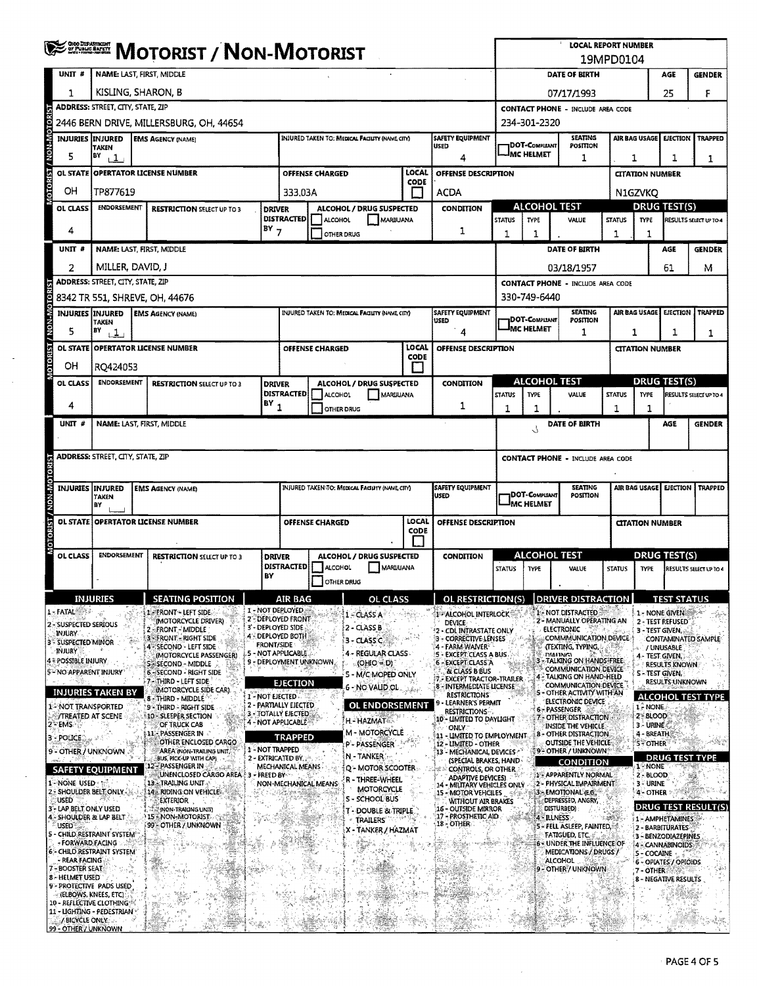|                                        | <b>WE BE MOTORIST / NON-MOTORIST</b>                               |                                                                      |                               |                                               |                        |                                                 |               | <b>LOCAL REPORT NUMBER</b><br>19MPD0104                             |                        |                                          |                                                                          |               |                                         |                              |                            |
|----------------------------------------|--------------------------------------------------------------------|----------------------------------------------------------------------|-------------------------------|-----------------------------------------------|------------------------|-------------------------------------------------|---------------|---------------------------------------------------------------------|------------------------|------------------------------------------|--------------------------------------------------------------------------|---------------|-----------------------------------------|------------------------------|----------------------------|
| UNIT#                                  | NAME: LAST, FIRST, MIDDLE                                          |                                                                      |                               |                                               |                        |                                                 |               |                                                                     |                        |                                          | DATE OF BIRTH                                                            |               |                                         | AGE                          | <b>GENDER</b>              |
| 1                                      |                                                                    | KISLING, SHARON, B                                                   |                               |                                               |                        |                                                 |               |                                                                     |                        | 25<br>07/17/1993                         |                                                                          |               |                                         |                              | F                          |
|                                        |                                                                    | <b>ADDRESS: STREET, CITY, STATE, ZIP</b>                             |                               |                                               |                        |                                                 |               |                                                                     |                        | <b>CONTACT PHONE - INCLUDE AREA CODE</b> |                                                                          |               |                                         |                              |                            |
|                                        |                                                                    | 2446 BERN DRIVE, MILLERSBURG, OH, 44654                              |                               |                                               |                        |                                                 |               |                                                                     | 234-301-2320           |                                          |                                                                          |               |                                         |                              |                            |
| <b>NON-M</b>                           | INJURIES IINJURED<br><b>TAKEN</b>                                  | <b>EMS AGENCY (NAME)</b>                                             |                               |                                               |                        | INJURED TAKEN TO: MEDICAL FACILITY (NAME, CITY) |               | <b>SAFETY EQUIPMENT</b><br><b>USED</b>                              |                        | DOT-Compliant                            | <b>SEATING</b><br>POSITION                                               |               | AIR BAG USAGE I                         | <b>EJECTION</b>              | <b>TRAPPED</b>             |
|                                        | BY<br>$\overline{1}$                                               |                                                                      | 4                             |                                               |                        |                                                 |               |                                                                     | <b>IMC HELMET</b>      | 1                                        | 1                                                                        |               | 1                                       | 1                            |                            |
| ĨЯ<br><b>OL STATE</b>                  |                                                                    | OPERTATOR LICENSE NUMBER                                             |                               |                                               | <b>OFFENSE CHARGED</b> |                                                 | LOCAL<br>CODE | OFFENSE DESCRIPTION                                                 |                        |                                          |                                                                          |               | <b>CITATION NUMBER</b>                  |                              |                            |
| <b>NOTOR</b><br>OН                     | TP877619                                                           |                                                                      |                               | 333.03A                                       |                        |                                                 |               | ACDA                                                                |                        |                                          |                                                                          |               | N1GZVKO                                 |                              |                            |
| OL CLASS                               | <b>ENDORSEMENT</b>                                                 | <b>RESTRICTION SELECT UP TO 3</b>                                    | <b>DRIVER</b>                 | <b>DISTRACTED</b>                             | <b>ALCOHOL</b>         | ALCOHOL / DRUG SUSPECTED<br>MARIJUANA           |               | CONDITION                                                           | <b>STATUS</b>          | <b>TYPE</b>                              | <b>ALCOHOL TEST</b><br>VALUE                                             | <b>STATUS</b> | <b>DRUG TEST(S)</b><br><b>TYPE</b>      |                              | RESULTS SELECT UP TO 4     |
| 4                                      |                                                                    |                                                                      | $BY$ 7                        |                                               | <b>OTHER DRUG</b>      |                                                 |               | 1                                                                   | 1                      | 1                                        |                                                                          | 1             | 1                                       |                              |                            |
| UNIT <sup>#</sup>                      |                                                                    | NAME: LAST, FIRST, MIDDLE                                            |                               |                                               |                        |                                                 |               |                                                                     |                        |                                          | DATE OF BIRTH                                                            |               |                                         | AGE                          | <b>GENDER</b>              |
| 2                                      | MILLER, DAVID, J                                                   |                                                                      |                               |                                               |                        |                                                 |               |                                                                     |                        |                                          | 03/18/1957                                                               |               |                                         | 61                           | м                          |
|                                        | ADDRESS: STREET, CITY, STATE, ZIP                                  |                                                                      |                               |                                               |                        |                                                 |               |                                                                     |                        |                                          | <b>CONTACT PHONE - INCLUDE AREA CODE</b>                                 |               |                                         |                              |                            |
|                                        | <b>INJURIES INJURED</b>                                            | 8342 TR 551, SHREVE, OH, 44676<br><b>EMS AGENCY (NAME)</b>           |                               |                                               |                        | INJURED TAKEN TO: MEDICAL FACILITY (NAME CITY)  |               | <b>SAFETY EQUIPMENT</b>                                             |                        | 330-749-6440                             | <b>SEATING</b>                                                           |               | AIR BAG USAGE                           | <b>EJECTION</b>              | <b>TRAPPED</b>             |
| <b>OTORIST / NON-MC</b><br>5           | <b>TAKEN</b><br>BY                                                 |                                                                      |                               |                                               |                        |                                                 |               | USED<br>4                                                           |                        | <b>DOT-COMPLIANT</b><br><b>MC HELMET</b> | POSITION<br>1                                                            |               |                                         | $\mathbf{1}$                 |                            |
|                                        | $\cdot$ 1                                                          | OL STATE OPERTATOR LICENSE NUMBER                                    |                               |                                               | OFFENSE CHARGED        |                                                 | <b>LOCAL</b>  | OFFENSE DESCRIPTION                                                 |                        |                                          |                                                                          | 1             | <b>CITATION NUMBER</b>                  |                              | 1                          |
| OН                                     | RQ424053                                                           |                                                                      |                               |                                               |                        |                                                 | CODE          |                                                                     |                        |                                          |                                                                          |               |                                         |                              |                            |
| <b>OL CLASS</b>                        | <b>ENDORSEMENT</b>                                                 | <b>RESTRICTION SELECT UP TO 3</b>                                    | <b>DRIVER</b>                 |                                               |                        | ALCOHOL / DRUG SUSPECTED                        |               | CONDITION                                                           |                        |                                          | ALCOHOL TEST                                                             |               | <b>DRUG TEST(S)</b>                     |                              |                            |
|                                        |                                                                    |                                                                      | $\overline{P}$ $\overline{P}$ | <b>DISTRACTED</b>                             | ALCOHOL                | <b>MARIJUANA</b>                                |               |                                                                     | <b>STATUS</b>          | <b>TYPE</b>                              | VALUE                                                                    | <b>STATUS</b> | <b>TYPE</b>                             |                              | RESULTS SELECT UP TO 4     |
| 4                                      |                                                                    |                                                                      |                               |                                               | OTHER DRUG             |                                                 |               | 1                                                                   | 1                      | 1                                        |                                                                          | 1             | 1                                       |                              |                            |
| UNIT #                                 |                                                                    | NAME: LAST, FIRST, MIDDLE                                            |                               |                                               |                        |                                                 |               |                                                                     |                        | 5                                        | DATE OF BIRTH                                                            |               |                                         | AGE                          | <b>GENDER</b>              |
|                                        | <b>ADDRESS: STREET, CITY, STATE, ZIP</b>                           |                                                                      |                               |                                               |                        |                                                 |               | <b>CONTACT PHONE - INCLUDE AREA CODE</b>                            |                        |                                          |                                                                          |               |                                         |                              |                            |
|                                        |                                                                    |                                                                      |                               |                                               |                        |                                                 |               |                                                                     |                        |                                          |                                                                          |               |                                         |                              |                            |
| <b>INJURIES</b>                        | <b>INJURED</b><br>TAKEN                                            | <b>EMS AGENCY (NAME)</b>                                             |                               |                                               |                        | INJURED TAKEN TO: MEDICAL FACUITY (NAME CITY)   |               | <b>SAFETY EQUIPMENT</b><br>USED                                     |                        | DOT-COMPLIANT                            | <b>SEATING</b><br>POSITION                                               |               | AIR BAG USAGE  EJECTION                 |                              | <b>TRAPPED</b>             |
|                                        | BY                                                                 |                                                                      |                               |                                               |                        |                                                 |               |                                                                     |                        | <b>MC HELMET</b>                         |                                                                          |               |                                         |                              |                            |
| <b>OL STATE</b>                        |                                                                    | <b>OPERTATOR LICENSE NUMBER</b>                                      |                               |                                               | <b>OFFENSE CHARGED</b> |                                                 | LOCAL<br>CODE | OFFENSE DESCRIPTION                                                 | <b>CITATION NUMBER</b> |                                          |                                                                          |               |                                         |                              |                            |
| MOTORIST / NON-MOTOR                   |                                                                    |                                                                      |                               |                                               |                        |                                                 |               |                                                                     |                        |                                          |                                                                          |               |                                         |                              |                            |
| OL CLASS                               | <b>ENDORSEMENT</b>                                                 | <b>RESTRICTION SELECT UP TO 3</b>                                    | <b>DRIVER</b>                 | <b>DISTRACTED</b>                             | <b>ALCOHOL</b>         | ALCOHOL / DRUG SUSPECTED<br>MARUUANA            |               | CONDITION                                                           | <b>STATUS</b>          | <b>TYPE</b>                              | <b>ALCOHOL TEST</b><br>VALUE                                             | <b>STATUS</b> | DRUG TEST(S)<br><b>TYPE</b>             |                              | RESULTS SELECT UP TO 4     |
|                                        |                                                                    |                                                                      | BY                            |                                               | OTHER DRUG             |                                                 |               |                                                                     |                        |                                          |                                                                          |               |                                         |                              |                            |
|                                        | <b>INJURIES</b>                                                    | <b>SEATING POSITION</b>                                              | 1 - NOT DEPLOYED.             | AIR BAG                                       |                        | OL CLASS                                        |               | OL RESTRICTION(S)                                                   |                        |                                          | <b>DRIVER DISTRACTION</b>                                                |               |                                         | <b>TEST STATUS</b>           |                            |
| 1-FATAL<br>2 - SUSPECTED SERIOUS       |                                                                    | - FRONT - LEFT SIDE<br>(MOTORCYCLE DRIVER)                           | 3' - DEPLOYED SIDE            | <b>2 - DEPLOYED FRONT</b>                     |                        | $1 - CLASS A$<br>2 - CLASS B                    |               | <b>EPALCOHOL INTERLOCK</b><br>DEVICE                                |                        |                                          | 1 - NOT DISTRACTED<br>2 - MANUALLY OPERATING AN                          |               | 1 - NONE GIVEN<br>2 - TEST REFUSED      |                              |                            |
| injury<br>3"- SUSPECTED MINOR          |                                                                    | - FRONT - MIDDLE<br>3 - FRONT - RIGHT SIDE<br>4 - SECOND - LEFT SIDE | <b>FRONT/SIDE</b>             | <b>4 - DEPLOYED BOTH</b>                      |                        | $3 - CLASSC$                                    |               | 2 - CDL INTRASTATE ONLY<br>3 - CORRECTIVE LENSES<br>4 - FARM WAIVER |                        |                                          | ELECTRONIC<br>COMMMUNICATION DEVICE<br>(TEXTING, TYPING,                 |               | 3 - TEST GIVEN,                         |                              | CONTAMINATED SAMPLE:       |
| <b>INJURY</b><br>4 = POSSIBLE INJURY   |                                                                    | (MOTORCYCLE PASSENGER)<br>SS SECOND - MIDDLE                         |                               | 5 - NOT APPLICABLE<br>9 - DEPLOYMENT UNKNOWN. |                        | 4 - REGULAR CLASS-<br>(OHIO = D)                |               | 5 - EXCEPT CLASS A BUS<br>6 - EXCEPT CLASS A                        |                        |                                          | <b>INFALTNICT</b><br>. TALKING ON HANDS FREE                             |               | 4 - TEST GIVEN,                         | / UNUSABLE<br>RESULTS KNOWN: |                            |
| 5-NO APPARENT INJURY                   |                                                                    | 6-SECOND - RIGHT SIDE<br>7-THIRD - LEFT SIDE                         |                               |                                               |                        | 5 - M/C MOPED ONLY                              |               | & CLASS B BUS<br>7 - EXCEPT TRACTOR-TRAILER                         |                        |                                          | COMMUNICATION DEVICE<br>4 - TALKING ON HAND-HELD                         |               | <b>S-TEST GIVEN,</b>                    | <b>RESULTS UNKNOWN</b>       |                            |
|                                        | <b>INJURIES TAKEN BY</b>                                           | (MOTORCYCLE SIDE CAR)<br>8 - Third - Middle                          | 1 - NOT EJECTED               | <b>EJECTION</b>                               |                        | 6 - NO VALID OL.                                |               | 8 - INTERMEDIATE LICENSE<br><b>RESTRICTIONS</b>                     |                        |                                          | COMMUNICATION DEVICE.<br>S - OTHER ACTIVITY WITH AN<br>ELECTRONIC DEVICE |               |                                         |                              | <b>ALCOHOL TEST TYPE</b>   |
| <b>IF-NOT TRANSPORTED</b>              | /TREATED. AT SCENE                                                 | 9 - THIRD - RIGHT SIDE<br>10 - SLEEPER SECTION                       |                               | 2 - PARTIALLY EJECTED<br>3 - TOTALLY EJECTED  |                        | <b>OL ENDORSEMENT</b>                           |               | LEARNER'S PERMIT<br><b>RESTRICTIONS</b><br>10 - LIMITED TO DAYLIGHT |                        |                                          | 6 - PASSENGER<br>7 - OTHER DISTRACTION                                   |               | 1-NONE<br>2%BLOOD                       |                              |                            |
| 2 - EMS -                              |                                                                    | OF TRUCK CAB<br>11 - PASSENGER IN                                    |                               | 4 - NOT APPLICABLE<br><b>TRAPPED</b>          |                        | H - HAZMAT<br>M - MOTORCYCLE                    |               | <b>ONLY</b><br>11 - LIMITED TO EMPLOYMENT                           |                        |                                          | INSIDE THE VEHICLE<br>8 - OTHER DISTRACTION                              |               | 3 - Urine:<br>4 - BREATH                |                              |                            |
| 3 - POLICE<br>9 - OTHER / UNKNOWN      |                                                                    | OTHER ENCLOSED CARGO<br>AREA (NON-TRAILING UNIT)                     | 1 - NOT TRAPPED               |                                               |                        | P - PASSENGER                                   |               | 12 - LIMITED - OTHER<br>13 - MECHANICAL DEVICES -                   |                        |                                          | OUTSIDE THE VEHICLE-<br>9 - OTHER / UNKNOWN                              |               | <b>5-OTHER</b>                          |                              |                            |
|                                        | <b>SAFETY EQUIPMENT</b>                                            | BUS, PICK-UP WITH CAP)<br>PASSENGER IN                               | 2 - EXTRICATED BY             | MECHANICAL MEANS                              |                        | N-TANKER<br>Q - MOTOR SCOOTER                   |               | (SPECIAL BRAKES, HAND-<br>CONTROLS, OR OTHER                        |                        |                                          | <b>CONDITION</b>                                                         |               | 1-NONE                                  |                              | <b>DRUG TEST TYPE</b>      |
| 1-NONE USED:                           |                                                                    | UNENCLOSED CARGO AREA ? 3<br>13 - TRAILING UNIT                      | - FREED BY                    |                                               | NON-MECHANICAL MEANS   | R-THREE-WHEEL<br>MOTORCYCLE                     |               | <b>ADAPTIVE DEVICES)</b><br><b>14 - MILITARY VEHICLES ONLY</b>      |                        |                                          | 1 - APPARENTLY NORMAL<br>2 - PHYSICAL IMPAIRMENT                         |               | 2 - BLOOD<br>3 - URINE                  |                              |                            |
| USED<br>3 - LAP BELT ONLY USED         | 2 - SHOULDER BELT ONLY                                             | 14 RIDING ON VEHICLE<br>EXTERIOR<br>(NON-TRAILING UNIT)              |                               |                                               |                        | S - SCHOOL BUS<br>T - DOUBLE & TRIPLE           |               | 15 - MOTOR VEHCILES<br>WITHOUT AIR BRAKES<br>16 - OUTSIDE MIRROR    |                        |                                          | 3 - EMOTIONAL (E.G.,<br>DEPRESSED, ANGRY,<br>DISTURBED)                  |               | 4 - OTHER                               |                              | <b>DRUG TEST RESULT(S)</b> |
| USED <sup>®</sup>                      | <b>SHOULDER &amp; LAP BELT</b>                                     | 15 - NON-MOTORIST<br>99 - OTHER / UNKNOWN                            |                               |                                               |                        | TRAILERS"                                       |               | 17 - PROSTHETIC AID.<br>18 - OTHER                                  |                        |                                          | $4 - ILNESS$<br>5 - FELL ASLEEP, FAINTED,                                |               | 1 - AMPHETAMINES<br>2 - BARBITURATES    |                              |                            |
| 5<br>- FORWARD FACING                  | - CHILD RESTRAINT SYSTEM                                           |                                                                      |                               |                                               |                        | X - TANKER / HAZMAT                             |               |                                                                     |                        |                                          | <b>FATIGUED, ETC.</b><br><b>6 - UNDER THE INFLUENCE OF</b>               |               | 3 - BENZODIAZEPINES<br>4 - CANNABINOIDS |                              |                            |
| REAR FACING                            | 6 - CHILD RESTRAINT SYSTEM                                         |                                                                      |                               |                                               |                        |                                                 |               |                                                                     |                        |                                          | <b>MEDICATIONS / DRUGS /</b><br><b>ALCOHOL</b>                           |               | 5 - COCAINE<br>6 - OPIATES / OPIOIDS    |                              |                            |
| 7 - BOOSTER SEAT<br>8 - HELMET USED    |                                                                    |                                                                      |                               |                                               |                        |                                                 |               |                                                                     |                        |                                          | 9 - OTHER / UNKNOWN                                                      |               | 7 - OTHER<br>8 - NEGATIVE RESULTS       |                              |                            |
|                                        | 9 - PROTECTIVE PADS USED<br>(ELBOWS, KNEES, ETC):                  |                                                                      |                               |                                               |                        |                                                 |               |                                                                     |                        |                                          |                                                                          |               |                                         |                              |                            |
|                                        | <b>10 - REFLECTIVE CLOTHING:**</b><br>11 - LIGHTING - PEDESTRIAN Y |                                                                      |                               |                                               |                        |                                                 |               |                                                                     |                        |                                          |                                                                          |               |                                         |                              |                            |
| / BICYCLE ONLY<br>99 - OTHER / UNKNOWN |                                                                    |                                                                      |                               |                                               |                        |                                                 |               |                                                                     |                        |                                          |                                                                          |               |                                         |                              |                            |

 $\overline{a}$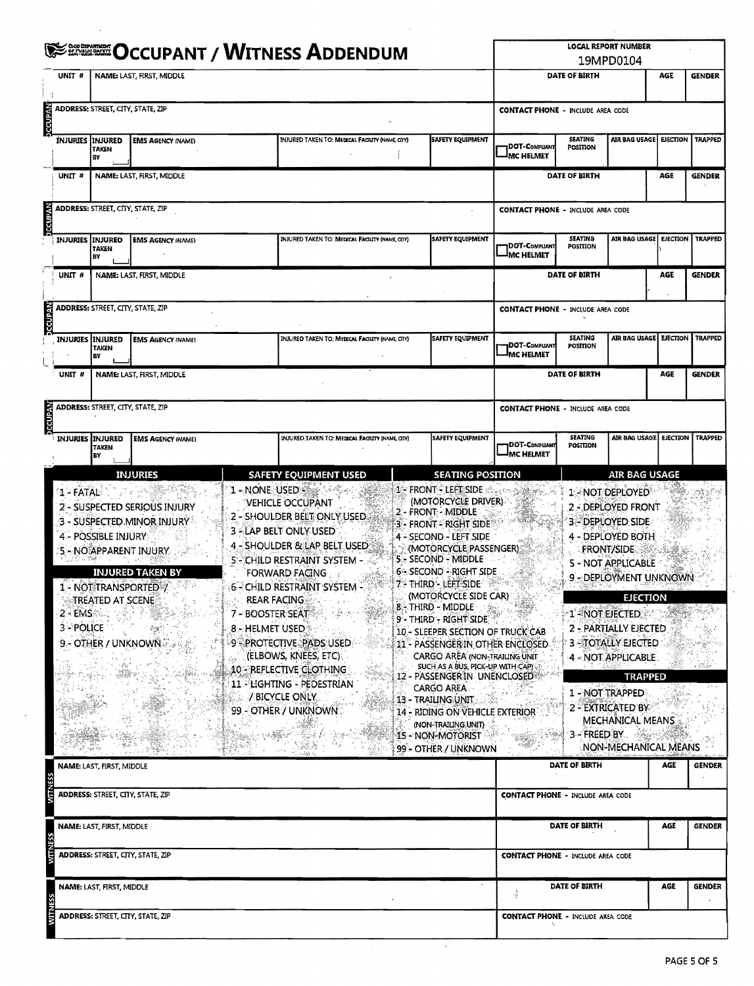|                | <b>SEE OCCUPANT / WITNESS ADDENDUM</b>                         |                                                                                                                                                  |                                                                                                                                    |                                                                                                                                                                                                                                                                                    |               |                                                                                                                                                                                                                                                                                                                          |                                                                                                                               | <b>LOCAL REPORT NUMBER</b><br>19MPD0104 |                                                                                                                                                                                                |                 |                |  |  |
|----------------|----------------------------------------------------------------|--------------------------------------------------------------------------------------------------------------------------------------------------|------------------------------------------------------------------------------------------------------------------------------------|------------------------------------------------------------------------------------------------------------------------------------------------------------------------------------------------------------------------------------------------------------------------------------|---------------|--------------------------------------------------------------------------------------------------------------------------------------------------------------------------------------------------------------------------------------------------------------------------------------------------------------------------|-------------------------------------------------------------------------------------------------------------------------------|-----------------------------------------|------------------------------------------------------------------------------------------------------------------------------------------------------------------------------------------------|-----------------|----------------|--|--|
|                | UNIT #                                                         |                                                                                                                                                  | NAME: LAST, FIRST, MIDDLE                                                                                                          |                                                                                                                                                                                                                                                                                    | DATE OF BIRTH |                                                                                                                                                                                                                                                                                                                          |                                                                                                                               | AGE                                     | <b>GENDER</b>                                                                                                                                                                                  |                 |                |  |  |
| bccUPAN        |                                                                | <b>ADDRESS: STREET, CITY, STATE, ZIP</b>                                                                                                         |                                                                                                                                    |                                                                                                                                                                                                                                                                                    |               |                                                                                                                                                                                                                                                                                                                          | <b>CONTACT PHONE - INCLUDE AREA CODE</b>                                                                                      |                                         |                                                                                                                                                                                                |                 |                |  |  |
|                |                                                                | <b>INJURIES INJURED</b><br>TAKEN<br>BY                                                                                                           | <b>EMS AGENCY (NAME)</b>                                                                                                           | INJURED TAKEN TO: MEDICAL FACILITY (NAME CITY)                                                                                                                                                                                                                                     |               | <b>SAFETY EQUIPMENT</b>                                                                                                                                                                                                                                                                                                  | DOT-COMPUANT<br><sup>I</sup> MC HELMET                                                                                        | <b>SEATING</b><br>POSITION              | <b>AIR BAG USAGE!</b>                                                                                                                                                                          | <b>EJECTION</b> | <b>TRAPPED</b> |  |  |
|                | UNIT #                                                         |                                                                                                                                                  | NAME: LAST, FIRST, MIDDLE                                                                                                          |                                                                                                                                                                                                                                                                                    |               |                                                                                                                                                                                                                                                                                                                          |                                                                                                                               | DATE OF BIRTH                           |                                                                                                                                                                                                | AGE             | <b>GENDER</b>  |  |  |
| <b>DCCUPAN</b> |                                                                |                                                                                                                                                  | ADDRESS: STREET, CITY, STATE, ZIP                                                                                                  |                                                                                                                                                                                                                                                                                    |               |                                                                                                                                                                                                                                                                                                                          | <b>CONTACT PHONE - INCLUDE AREA CODE</b>                                                                                      |                                         |                                                                                                                                                                                                |                 |                |  |  |
|                |                                                                | <b>INJURIES INJURED</b><br><b>TAKEN</b><br>B٧                                                                                                    | <b>EMS AGENCY INAME!</b>                                                                                                           | INJURED TAKEN TO: MEDICAL FACILITY (NAME CITY)                                                                                                                                                                                                                                     |               | SAFETY EQUIPMENT                                                                                                                                                                                                                                                                                                         | DOT-Compliant<br><sup>I</sup> MC HELMET                                                                                       | SEATING<br>POSITION                     | AIR BAG USAGE                                                                                                                                                                                  | <b>EJECTION</b> | <b>TRAPPED</b> |  |  |
|                | UNIT <sub>#</sub><br>NAME: LAST, FIRST, MIDDLE                 |                                                                                                                                                  |                                                                                                                                    |                                                                                                                                                                                                                                                                                    |               |                                                                                                                                                                                                                                                                                                                          |                                                                                                                               | <b>DATE OF BIRTH</b>                    |                                                                                                                                                                                                | AGE             | <b>GENDER</b>  |  |  |
| <b>DECUPAN</b> |                                                                | <b>ADDRESS: STREET, CITY, STATE, ZIP</b>                                                                                                         |                                                                                                                                    |                                                                                                                                                                                                                                                                                    |               |                                                                                                                                                                                                                                                                                                                          | <b>CONTACT PHONE - INCLUDE AREA CODE</b>                                                                                      |                                         |                                                                                                                                                                                                |                 |                |  |  |
|                |                                                                | SAFETY EQUIPMENT<br>INJURED TAKEN TO: MEDICAL FACILITY (NAME, CITY)<br><b>INJURIES INJURED</b><br><b>EMS AGENCY (NAME)</b><br><b>TAKEN</b><br>BY |                                                                                                                                    |                                                                                                                                                                                                                                                                                    |               |                                                                                                                                                                                                                                                                                                                          | <b>IDOT-COMPLIANT</b><br><b>MC HELMET</b>                                                                                     | SEATING<br>POSITION                     | AIR BAG USAGE                                                                                                                                                                                  | <b>EJECTION</b> | TRAPPED        |  |  |
|                | UNIT <sup>#</sup>                                              |                                                                                                                                                  | NAME: LAST, FIRST, MIDDLE                                                                                                          |                                                                                                                                                                                                                                                                                    |               |                                                                                                                                                                                                                                                                                                                          |                                                                                                                               | DATE OF BIRTH                           |                                                                                                                                                                                                | AGE             | <b>GENDER</b>  |  |  |
| <b>DCCUPAR</b> |                                                                |                                                                                                                                                  | <b>ADDRESS: STREET, CITY, STATE, ZIP</b>                                                                                           |                                                                                                                                                                                                                                                                                    |               |                                                                                                                                                                                                                                                                                                                          | <b>CONTACT PHONE - INCLUDE AREA CODE</b>                                                                                      |                                         |                                                                                                                                                                                                |                 |                |  |  |
|                |                                                                | <b>INJURIES INJURED</b><br>TAKEN<br>B٧                                                                                                           | <b>EMS AGENCY (NAME)</b>                                                                                                           | INJURED TAKEN TO: MEDICAL FACILITY (NAME, CITY)                                                                                                                                                                                                                                    |               | <b>SAFETY EQUIPMENT</b>                                                                                                                                                                                                                                                                                                  | DOT-COMPLIANT<br><b>IMC HELMET</b>                                                                                            | SEATING<br>POSITION                     | AIR BAG USAGE   EIECTION   TRAPPED                                                                                                                                                             |                 |                |  |  |
|                |                                                                |                                                                                                                                                  | <b>INJURIES</b>                                                                                                                    | <b>SAFETY EQUIPMENT USED</b>                                                                                                                                                                                                                                                       |               | <b>SEATING POSITION</b>                                                                                                                                                                                                                                                                                                  |                                                                                                                               |                                         | <b>AIR BAG USAGE</b>                                                                                                                                                                           |                 |                |  |  |
|                | $2 - EMS$<br>3-POLICE                                          | 4 - POSSIBLE INJURY<br><b>TREATED AT SCENE</b>                                                                                                   | 2 - SUSPECTED SERIOUS INJURY<br>3 - SUSPECTED MINOR INJURY<br>5 - NO APPARENT INJURY.<br>INJURED TAKEN BY<br>1 - NOT TRANSPORTED 7 | VEHICLE OCCUPANT<br>2 - SHOULDER BELT ONLY USED<br><b>3 - LAP BELT ONLY USED</b><br>4 - SHOULDER & LAP BELT USED.<br><b>5°-CHILD RESTRAINT SYSTEM - 36</b><br><b>FORWARD FAGING</b><br>6 - CHILD RESTRAINT SYSTEM -<br><b>REAR FACING</b><br>7 - BOOSTER SEAT<br>8 - HELMET USED * |               | (MOTORCYCLE DRIVER)<br>2 - FRONT - MIDDLE<br>3 - FRONT - RIGHT SIDE<br>4 - SECOND - LEFT SIDE<br>(MOTORCYCLE PASSENGER)<br>5 - SECOND - MIDDLE<br>6 - SECOND - RIGHT SIDE<br>7 - THIRD - LEFT SIDE I<br>(MOTORCYCLE SIDE CAR)<br>8 - THIRD - MIDDLE Asset<br>9 - THIRD - RIGHT SIDE<br>10 - SLEEPER SECTION OF TRUCK CAB | $\label{eq:1} \frac{\partial}{\partial \theta} \partial_{\theta} \nabla \phi \partial_{\theta} \nabla \phi \cdot \nabla \phi$ |                                         | 2 - DEPLOYED FRONT<br>3 - DEPLOYED SIDE<br>4 - DEPLOYED BOTH<br><b>FRONT/SIDE</b><br>5 - NOT APPLICABLE<br>9 - DEPLOYMENT UNKNOWN<br><b>EJECTION</b><br>1-NOT EJECTED<br>2 - PARTIALLY EJECTED |                 |                |  |  |
|                |                                                                |                                                                                                                                                  | <b>9 - OTHER / UNKNOWN 2</b>                                                                                                       | 9 PROTECTIVE PADS USED<br>(ELBOWS, KNEES, ETC)<br>10 - REFLECTIVE CLOTHING<br>11 - LIGHTING - PEDESTRIAN<br>/ BICYCLE ONLY<br>99 - OTHER / UNKNOWN                                                                                                                                 |               | 11 - PASSENGERIN OTHER ENCLOSED.<br><b>CARGO AREA (NON-TRAILING UNIT)</b><br>SUCH AS A BUS, PICK-UP WITH CAP)<br>12 - PASSENGER IN UNENCLOSED®<br><b>CARGO AREA</b><br>13 - TRAILING UNIT<br>14 - RIDING ON VEHICLE EXTERIOR<br>(NON-TRAILING UNIT)<br>15 - NON-MOTORIST<br>99 - OTHER / UNKNOWN                         |                                                                                                                               |                                         | <b>3-STOTALLY EJECTED</b><br>4 - NOT APPLICABLE<br><b>TRAPPED</b><br>1 - NOT TRAPPED<br>2 - EXTRICATED BY<br><b>MECHANICAL MEANS</b><br>3 - FREED BY<br>NON-MECHANICAL MEANS                   |                 |                |  |  |
|                |                                                                | NAME: LAST, FIRST, MIDDLE                                                                                                                        |                                                                                                                                    |                                                                                                                                                                                                                                                                                    |               |                                                                                                                                                                                                                                                                                                                          |                                                                                                                               | DATE OF BIRTH                           |                                                                                                                                                                                                | AGE             | <b>GENDER</b>  |  |  |
|                |                                                                |                                                                                                                                                  | ADDRESS: STREET, CITY, STATE, ZIP                                                                                                  |                                                                                                                                                                                                                                                                                    |               |                                                                                                                                                                                                                                                                                                                          | <b>CONTACT PHONE - INCLUDE AREA CODE</b>                                                                                      |                                         |                                                                                                                                                                                                |                 |                |  |  |
|                | NAME: LAST, FIRST, MIDDLE<br>ADDRESS: STREET, CITY, STATE, ZIP |                                                                                                                                                  |                                                                                                                                    |                                                                                                                                                                                                                                                                                    |               | <b>DATE OF BIRTH</b><br>AGE                                                                                                                                                                                                                                                                                              |                                                                                                                               |                                         |                                                                                                                                                                                                | <b>GENDER</b>   |                |  |  |
|                |                                                                |                                                                                                                                                  |                                                                                                                                    |                                                                                                                                                                                                                                                                                    |               |                                                                                                                                                                                                                                                                                                                          | <b>CONTACT PHONE - INCLUDE AREA CODE</b>                                                                                      |                                         |                                                                                                                                                                                                |                 |                |  |  |
|                | NAME: LAST, FIRST, MIDDLE                                      |                                                                                                                                                  |                                                                                                                                    |                                                                                                                                                                                                                                                                                    |               |                                                                                                                                                                                                                                                                                                                          |                                                                                                                               | DATE OF BIRTH                           |                                                                                                                                                                                                | AGE             | <b>GENDER</b>  |  |  |
|                |                                                                |                                                                                                                                                  | ADDRESS: STREET, CITY, STATE, ZIP                                                                                                  |                                                                                                                                                                                                                                                                                    |               |                                                                                                                                                                                                                                                                                                                          | <b>CONTACT PHONE - INCLUDE AREA CODE</b>                                                                                      |                                         |                                                                                                                                                                                                |                 |                |  |  |

 $\ddot{\phantom{0}}$ 

 $\bar{z}$